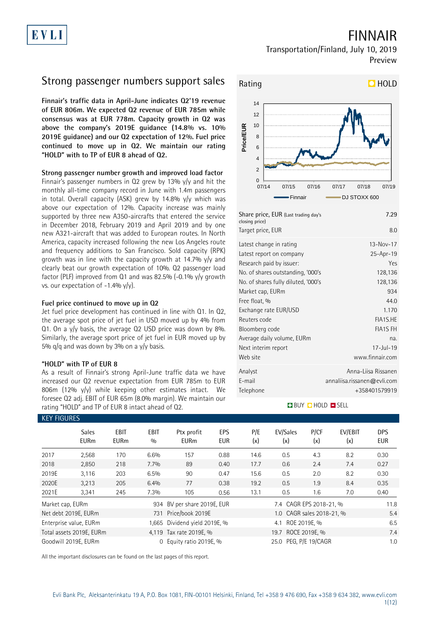# FINNAIR

## Transportation/Finland, July 10, 2019 Preview

# Strong passenger numbers support sales

**Finnair's traffic data in April-June indicates Q2'19 revenue of EUR 806m. We expected Q2 revenue of EUR 785m while consensus was at EUR 778m. Capacity growth in Q2 was above the company's 2019E guidance (14.8% vs. 10% 2019E guidance) and our Q2 expectation of 12%. Fuel price continued to move up in Q2. We maintain our rating "HOLD" with to TP of EUR 8 ahead of Q2.** 

## **Strong passenger number growth and improved load factor**

Finnair's passenger numbers in Q2 grew by 13% y/y and hit the monthly all-time company record in June with 1.4m passengers in total. Overall capacity (ASK) grew by 14.8% y/y which was above our expectation of 12%. Capacity increase was mainly supported by three new A350-aircrafts that entered the service in December 2018, February 2019 and April 2019 and by one new A321-aircraft that was added to European routes. In North America, capacity increased following the new Los Angeles route and frequency additions to San Francisco. Sold capacity (RPK) growth was in line with the capacity growth at 14.7% y/y and clearly beat our growth expectation of 10%. Q2 passenger load factor (PLF) improved from Q1 and was 82.5% (-0.1%  $y/y$  growth vs. our expectation of  $-1.4%$  y/y).

## **Fuel price continued to move up in Q2**

Jet fuel price development has continued in line with Q1. In Q2, the average spot price of jet fuel in USD moved up by 4% from Q1. On a y/y basis, the average Q2 USD price was down by 8%. Similarly, the average sport price of jet fuel in EUR moved up by 5%  $q/q$  and was down by 3% on a y/y basis.

## **"HOLD" with TP of EUR 8**

As a result of Finnair's strong April-June traffic data we have increased our Q2 revenue expectation from EUR 785m to EUR 806m (12% y/y) while keeping other estimates intact. We foresee Q2 adj. EBIT of EUR 65m (8.0% margin). We maintain our rating "HOLD" and TP of EUR 8 intact ahead of Q2.



| Share price, EUR (Last trading day's<br>closing price) | 7.29                        |
|--------------------------------------------------------|-----------------------------|
| Target price, EUR                                      | 8.0                         |
| Latest change in rating                                | $13 - Nov - 17$             |
| Latest report on company                               | 25-Apr-19                   |
| Research paid by issuer:                               | Yes                         |
| No. of shares outstanding, '000's                      | 128,136                     |
| No. of shares fully diluted, '000's                    | 128,136                     |
| Market cap, EURm                                       | 934                         |
| Free float, %                                          | 440                         |
| Exchange rate EUR/USD                                  | 1.170                       |
| Reuters code                                           | FIA1S.HE                    |
| Bloomberg code                                         | <b>FIA1S FH</b>             |
| Average daily volume, EURm                             | na.                         |
| Next interim report                                    | $17 -  u  - 19$             |
| Web site                                               | www.finnair.com             |
| Analyst                                                | Anna-Liisa Rissanen         |
| E-mail                                                 | annaliisa.rissanen@evli.com |
| Telephone                                              | +358401579919               |

## **BUY CHOLD SELL**

| <b>KEY FIGURES</b> |                             |                     |             |                               |                   |            |                           |               |                |                   |
|--------------------|-----------------------------|---------------------|-------------|-------------------------------|-------------------|------------|---------------------------|---------------|----------------|-------------------|
|                    | <b>Sales</b><br><b>EURm</b> | EBIT<br><b>EURm</b> | EBIT<br>0/0 | Ptx profit<br><b>EURm</b>     | EPS<br><b>EUR</b> | P/E<br>(x) | EV/Sales<br>(x)           | P/CF<br>(x)   | EV/EBIT<br>(x) | <b>DPS</b><br>EUR |
| 2017               | 2,568                       | 170                 | 6.6%        | 157                           | 0.88              | 14.6       | 0.5                       | 4.3           | 8.2            | 0.30              |
| 2018               | 2,850                       | 218                 | 7.7%        | 89                            | 0.40              | 17.7       | 0.6                       | 2.4           | 7.4            | 0.27              |
| 2019E              | 3,116                       | 203                 | 6.5%        | 90                            | 0.47              | 15.6       | 0.5                       | 2.0           | 8.2            | 0.30              |
| 2020E              | 3,213                       | 205                 | 6.4%        | 77                            | 0.38              | 19.2       | 0.5                       | 1.9           | 8.4            | 0.35              |
| 2021E              | 3,341                       | 245                 | 7.3%        | 105                           | 0.56              | 13.1       | 0.5                       | 1.6           | 7.0            | 0.40              |
| Market cap, EURm   |                             |                     |             | 934 BV per share 2019E, EUR   |                   |            | 7.4 CAGR EPS 2018-21, %   |               |                | 11.8              |
|                    | Net debt 2019E, EURm        |                     |             | 731 Price/book 2019E          |                   |            | 1.0 CAGR sales 2018-21, % |               |                | 5.4               |
|                    | Enterprise value, EURm      |                     |             | 1,665 Dividend yield 2019E, % |                   |            | ROE 2019E, %<br>4.1       |               |                | 6.5               |
|                    | Total assets 2019E, EURm    |                     |             | 4.119 Tax rate 2019E, %       |                   |            | 19.7                      | ROCE 2019E, % |                | 7.4               |
|                    | Goodwill 2019E, EURm        |                     | $\Omega$    | Equity ratio 2019E, %         |                   |            | 25.0 PEG, P/E 19/CAGR     |               |                | 1.0               |

All the important disclosures can be found on the last pages of this report.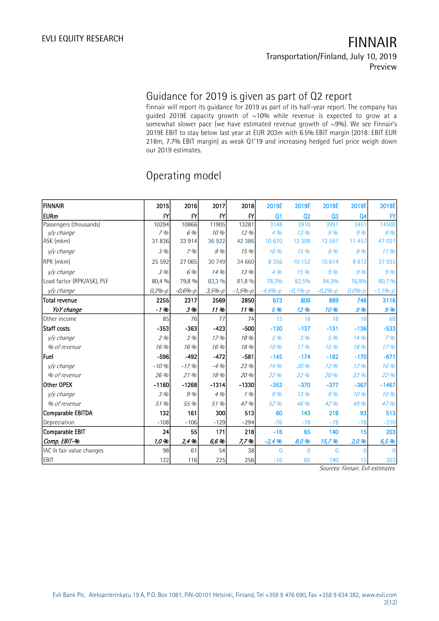# Guidance for 2019 is given as part of Q2 report

Finnair will report its guidance for 2019 as part of its half-year report. The company has guided 2019E capacity growth of ~10% while revenue is expected to grow at a somewhat slower pace (we have estimated revenue growth of ~9%). We see Finnair's 2019E EBIT to stay below last year at EUR 203m with 6.5% EBIT margin (2018: EBIT EUR 218m, 7.7% EBIT margin) as weak Q1'19 and increasing hedged fuel price weigh down our 2019 estimates.

| <b>FINNAIR</b>             | 2015             | 2016          | 2017          | 2018         | 2019E          | 2019E          | 2019E          | 2019E          | 2019E            |
|----------------------------|------------------|---------------|---------------|--------------|----------------|----------------|----------------|----------------|------------------|
| lEURm                      | $\mathsf{F}$     | $\mathsf{F}'$ | $\mathsf{F}'$ | $\mathsf{F}$ | Q <sub>1</sub> | Q <sub>2</sub> | Q <sub>3</sub> | Q <sub>4</sub> | BY               |
| Passengers (thousands)     | 10294            | 10866         | 11905         | 13281        | 3148           | 3910           | 3991           | 3451           | 14500            |
| y/y change                 | 7%               | 6 %           | 10 %          | 12 %         | 4 %            | 13 %           | 9%             | 9%             | 9%               |
| ASK (mkm)                  | 31836            | 33 914        | 36922         | 42 386       | 10 670         | 12 308         | 12 597         | 11 457         | 47 031           |
| y/y change                 | 3%               | 7%            | 9 %           | 15%          | 10%            | 15 %           | 9%             | 9%             | $11\%$           |
| RPK (mkm)                  | 25 5 92          | 27 065        | 30 749        | 34 660       | 8 3 5 6        | 10 152         | 10 6 14        | 8812           | 37 935           |
| y/y change                 | 3.9 <sub>0</sub> | 6 %           | 14 %          | 13%          | 4%             | 15%            | 9%             | 9%             | 9 <sub>0</sub>   |
| Load factor (RPK/ASK), PLF | 80,4 %           | 79,8 %        | 83,3 %        | 81,8 %       | 78,3%          | 82,5%          | 84,3%          | 76,9%          | 80,7 %           |
| y/y change                 | $0,2% - p$       | $-0,6% - p$   | $3,5% - p$    | $-1,5% - p$  | $-4,6% - p$    | $-0,1% - p$    | $-0,2% - p$    | $0,0% - p$     | $-1,1% - p$      |
| <b>Total revenue</b>       | 2255             | 2317          | 2569          | 2850         | 673            | 806            | 889            | 748            | 3116             |
| YoY change                 | $-1.96$          | 3 %           | 11 %          | 11%          | 5 %            | 12 %           | 10 %           | 9%             | 9 <sub>%</sub>   |
| Other income               | 85               | 76            | 77            | 74           | 15             | 18             | 18             | 18             | 69               |
| Staff costs                | $-353$           | $-363$        | $-423$        | $-500$       | $-130$         | $-137$         | $-131$         | $-136$         | $-533$           |
| v/v change                 | 2%               | 3%            | 17%           | 18 %         | 5 %            | 3%             | 5 %            | 14 %           | $7$ %            |
| % of revenue               | 16 %             | 16 %          | 16 %          | 18 %         | 19 %           | 17%            | 15 %           | 18 %           | 17 <sub>96</sub> |
| lFuel                      | $-596$           | $-492$        | $-472$        | $-581$       | $-145$         | $-174$         | $-182$         | $-170$         | $-671$           |
| y/y change                 | $-10%$           | $-17%$        | $-4%$         | 23 %         | 14 %           | 20 %           | 12 %           | 17%            | 16 %             |
| % of revenue               | 26 %             | 21%           | 18 %          | 20 %         | 22 %           | 22 %           | 20 %           | 23 %           | 22 %             |
| Other OPEX                 | $-1160$          | $-1268$       | $-1314$       | $-1330$      | $-353$         | $-370$         | $-377$         | $-367$         | $-1467$          |
| y/y change                 | 3%               | 9 %           | 4 %           | 1%           | 9 %            | 13 %           | 9%             | 10 %           | 10 %             |
| % of revenue               | 51 %             | 55 %          | 51 %          | 47 %         | 52 %           | 46 %           | 42 %           | 49 %           | 47 %             |
| Comparable EBITDA          | 132              | 161           | 300           | 513          | 60             | 143            | 218            | 93             | 513              |
| Depreciation               | $-108$           | $-106$        | $-129$        | $-294$       | $-76$          | $-78$          | $-78$          | $-78$          | $-310$           |
| Comparable EBIT            | 24               | 55            | 171           | 218          | $-16$          | 65             | 140            | 15             | 203              |
| Comp. EBIT-%               | 1,0%             | 2,4 %         | 6,6 %         | 7,7%         | $-2,4%$        | 8,0 %          | 15,7 %         | 2,0 %          | 6,5 %            |
| IAC & fair value changes   | 98               | 61            | 54            | 38           | $\Omega$       | $\mathbf{0}$   | $\overline{0}$ | 0              | $\Omega$         |
| <b>EBIT</b>                | 122              | 116           | 225           | 256          | $-16$          | 65             | 140            | 15             | 203              |

# Operating model

Sources: Finnair, Evli estimates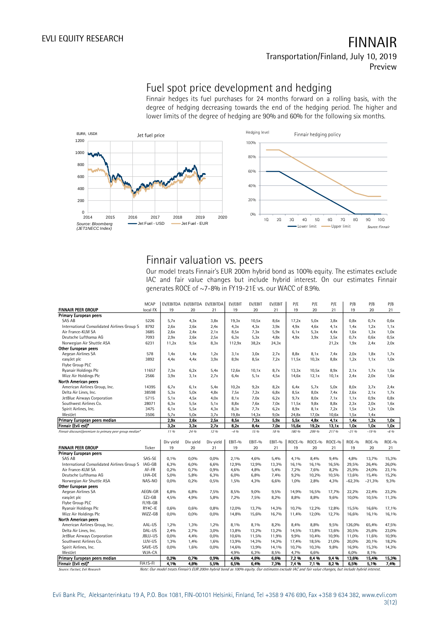# Fuel spot price development and hedging

Finnair hedges its fuel purchases for 24 months forward on a rolling basis, with the degree of hedging decreasing towards the end of the hedging period. The higher and lower limits of the degree of hedging are 90% and 60% for the following six months.



# Finnair valuation vs. peers

Our model treats Finnair's EUR 200m hybrid bond as 100% equity. The estimates exclude IAC and fair value changes but include hybrid interest. On our estimates Finnair generates ROCE of ~7-8% in FY19-21E vs. our WACC of 8.9%.

|                                                        | <b>MCAP</b> |           | EV/EBITDA EV/EBITDA EV/EBITDA |           | EV/EBIT | EV/EBIT | EV/EBIT | P/E    | P/E    | P/E    | P/B          | P/B          | P/B          |
|--------------------------------------------------------|-------------|-----------|-------------------------------|-----------|---------|---------|---------|--------|--------|--------|--------------|--------------|--------------|
| <b>FINNAIR PEER GROUP</b>                              | local FX    | 19        | 20                            | 21        | 19      | 20      | 21      | 19     | 20     | 21     | 19           | 20           | 21           |
| Primary European peers                                 |             |           |                               |           |         |         |         |        |        |        |              |              |              |
| SAS AB                                                 | 5226        | 5,7x      | 4.3x                          | 3,8x      | 19,3x   | 10,5x   | 8,6x    | 17,2x  | 5,0x   | 3,8x   | 0.8x         | 0.7x         | 0,6x         |
| International Consolidated Airlines Group S            | 8792        | 2,6x      | 2.6x                          | 2.4x      | 4.3x    | 4.3x    | 3.9x    | 4.9x   | 4.6x   | 4.1x   | 1.4x         | 1,2x         | 1,1x         |
| Air France-KLM SA                                      | 3685        | 2,6x      | 2.4x                          | 2.1x      | 8,5x    | 7.3x    | 5,9x    | 6,1x   | 5,3x   | 4.4x   | 1.6x         | 1,3x         | 1,0x         |
| Deutsche Lufthansa AG                                  | 7093        | 2.9x      | 2.6x                          | 2,5x      | 6,3x    | 5.3x    | 4,8x    | 4,9x   | 3,9x   | 3,5x   | 0.7x         | 0,6x         | 0,5x         |
| Norwegian Air Shuttle ASA                              | 6231        | 11,2x     | 9,5x                          | 8.3x      | 112,9x  | 38,2x   | 24,3x   |        |        | 21,2x  | 1,9x         | 2.4x         | 2.0x         |
| <b>Other European peers</b>                            |             |           |                               |           |         |         |         |        |        |        |              |              |              |
| Aegean Airlines SA                                     | 578         | 1,4x      | 1.4x                          | 1,2x      | 3,1x    | 3,0x    | 2.7x    | 8,8x   | 8,1x   | 7.4x   | 2.0x         | 1,8x         | 1,7x         |
| easyJet plc                                            | 3892        | 4.4x      | 4.4x                          | 3,9x      | 8.9x    | 8,5x    | 7,2x    | 11,5x  | 10,3x  | 8,8x   | 1,2x         | 1,1x         | 1,0x         |
| Flybe Group PLC                                        |             |           |                               |           |         |         |         |        |        |        |              |              |              |
| Ryanair Holdings Plc                                   | 11657       | 7,3x      | 6,2x                          | 5.4x      | 12,6x   | 10,1x   | 8,7x    | 13,3x  | 10,5x  | 8.9x   | 2,1x         | 1,7x         | 1,5x         |
| Wizz Air Holdings Plc                                  | 2566        | 3,9x      | 3,1x                          | 2,7x      | 6,4x    | 5.1x    | 4,5x    | 14,6x  | 12,1x  | 10,1x  | 2.4x         | 2.0x         | 1,6x         |
| North American peers                                   |             |           |                               |           |         |         |         |        |        |        |              |              |              |
| American Airlines Group, Inc.                          | 14395       | 6,7x      | 6,1x                          | 5.4x      | 10,2x   | 9,2x    | 8,2x    | 6.4x   | 5.7x   | 5.0x   | 8,0x         | 3,7x         | 2.4x         |
| Delta Air Lines, Inc.                                  | 38598       | 5.3x      | 5.0x                          | 4.8x      | 7,5x    | 7.2x    | 6,8x    | 8,5x   | 8,0x   | 7.4x   | 2,6x         | 2.1x         | 1,7x         |
| JetBlue Airways Corporation                            | 5715        | 5.1x      | 4,5x                          | 4.0x      | 8,1x    | 7.0x    | 6,2x    | 9,7x   | 8,0x   | 7.1x   | 1,1x         | 0.9x         | 0,8x         |
| Southwest Airlines Co.                                 | 28071       | 6.3x      | 5,5x                          | 5,1x      | 8,8x    | 7.6x    | 7.0x    | 11,5x  | 9,8x   | 8,8x   | 2,3x         | 2.0x         | 1,6x         |
| Spirit Airlines, Inc.                                  | 3475        | 6,1x      | 5,5x                          | 4.3x      | 8,3x    | 7.7x    | 6,2x    | 8.9x   | 8,1x   | 7.2x   | 1,5x         | 1,2x         | 1.0x         |
| WestJet                                                | 3506        | 5,7x      | 5.0x                          | 3,7x      | 19,8x   | 14,3x   | 9,0x    | 24,8x  | 17,0x  | 10,6x  | 1,5x         | 1,4x         |              |
| Primary European peers median                          |             | 2.9x      | 2.6x                          | 2.5x      | 8,5x    | 7.3x    | 5.9x    | 5,5x   | 4.8x   | 4.1x   | 1.4x         | 1,2x         | 1.0x         |
| Finnair (Evli est)*                                    |             | 3.2x      | 3.3x                          | 2.7x      | 8,2x    | 8.4x    | 7.0x    | 15,6x  | 19,2x  | 13.1x  | 1.0x         | 1.0x         | 1.0x         |
| Finnair discount/premium to primary peer group median* |             | 11 %      | 24 %                          | 1296      | $-4.96$ | 15 %    | 18 %    | 180 %  | 299 %  | 217 %  | $-3196$      | $-19.96$     | $-6.96$      |
|                                                        |             |           |                               |           |         |         |         |        |        |        |              |              |              |
|                                                        |             | Div yield | Div yield                     | Div yield | EBIT-%  | EBIT-%  | EBIT-%  | ROCE-% | ROCE-% | ROCE-% | <b>ROE-%</b> | <b>ROE-%</b> | <b>ROE-%</b> |
|                                                        |             |           |                               |           |         |         |         |        |        |        |              |              |              |
| <b>FINNAIR PEER GROUP</b>                              | Ticker      | 19        | 20                            | 21        | 19      | 20      | 21      | 19     | 20     | 21     | 19           | 20           | 21           |
| <b>Primary European peers</b>                          |             |           |                               |           |         |         |         |        |        |        |              |              |              |
| SAS AB                                                 | SAS-SE      | 0,1%      | 0,0%                          | 0,0%      | 2,1%    | 4,6%    | 5,4%    | 4,1%   | 8,4%   | 9,4%   | 4,8%         | 13,7%        | 15,3%        |
| International Consolidated Airlines Group S IAG-GB     |             | 6,3%      | 6.0%                          | 6,6%      | 12,9%   | 12,9%   | 13,3%   | 16,1%  | 16,1%  | 16,5%  | 29.5%        | 26,4%        | 26,0%        |
| Air France-KLM SA                                      | AF-FR       | 0,2%      | 0,7%                          | 0,9%      | 4,6%    | 4,8%    | 5,4%    | 7,2%   | 7,6%   | 8,2%   | 25,9%        | 24,0%        | 23,1%        |
| Deutsche Lufthansa AG                                  | LHA-DE      | 5,0%      | 5,8%                          | 6,3%      | 6,0%    | 6,8%    | 7,4%    | 9,2%   | 10,2%  | 10,5%  | 13,6%        | 15,4%        | 15,2%        |
| Norwegian Air Shuttle ASA                              | NAS-NO      | 0,0%      | 0,2%                          | 0,5%      | 1,5%    | 4,3%    | 6,6%    | 1,0%   | 2,8%   | 4,3%   | $-62,3%$     | $-21,3%$     | 9,3%         |
| <b>Other European peers</b>                            |             |           |                               |           |         |         |         |        |        |        |              |              |              |
| Aegean Airlines SA                                     | AEGN-GR     | 6,8%      | 6,8%                          | 7,5%      | 8,5%    | 9,0%    | 9,5%    | 14,9%  | 16,5%  | 17,7%  | 22,2%        | 22,4%        | 23,2%        |
| easyJet plc                                            | EZJ-GB      | 4,5%      | 4,9%                          | 5,8%      | 7,2%    | 7,5%    | 8,2%    | 8,8%   | 8,8%   | 9,6%   | 10,0%        | 10,5%        | 11,3%        |
| Flybe Group PLC                                        | FLYB-GB     |           |                               |           |         |         |         |        |        |        |              |              |              |
| Ryanair Holdings Plc                                   | RY4C-IE     | 0,6%      | 0,6%                          | 0,8%      | 12,0%   | 13,7%   | 14,3%   | 10,7%  | 12,2%  | 12,8%  | 15,5%        | 16,6%        | 17,1%        |
| Wizz Air Holdings Plc                                  | WIZZ-GB     | 0,0%      | 0,0%                          | 0,0%      | 14,8%   | 15,6%   | 16,7%   | 11,4%  | 12,0%  | 12,7%  | 16,6%        | 16,1%        | 16,1%        |
| North American peers                                   |             |           |                               |           |         |         |         |        |        |        |              |              |              |
| American Airlines Group, Inc.                          | AAL-US      | 1.2%      | 1.3%                          | 1.2%      | 8.1%    | 8.1%    | 8.2%    | 8.4%   | 8.8%   | 9,5%   | 126.0%       | 65.4%        | 47.5%        |
| Delta Air Lines, Inc.                                  | DAL-US      | 2.4%      | 2.7%                          | 3,0%      | 13,8%   | 13,2%   | 13,2%   | 14,5%  | 13,8%  | 13,6%  | 30.5%        | 25.6%        | 23,0%        |
| JetBlue Airways Corporation                            | JBLU-US     | 0,0%      | 4,4%                          | 0,0%      | 10,6%   | 11,5%   | 11,9%   | 9,9%   | 10,4%  | 10,9%  | 11,0%        | 11,6%        | 10,9%        |
| Southwest Airlines Co.                                 | LUV-US      | 1,3%      | 1,4%                          | 1,6%      | 13,9%   | 14,3%   | 14,3%   | 17,4%  | 18,5%  | 21,0%  | 20,0%        | 20,1%        | 18,2%        |
| Spirit Airlines, Inc.                                  | SAVE-US     | $0.0\%$   | 1.6%                          | 0,0%      | 14,6%   | 13,9%   | 14,1%   | 10,7%  | 10,3%  | 9,8%   | 16,9%        | 15,3%        | 14,3%        |
| WestJet                                                | WJA-CA      |           |                               |           | 4,9%    | 6,3%    | 8,5%    | 4,7%   | 6,6%   |        | 6,0%         | 8,1%         |              |
| Primary European peers median                          |             | 0,2%      | 0,7%                          | 0.9%      | 4,6%    | 4,8%    | 6.6%    | 7,2%   | 8.4%   | 9.4%   | 13,6%        | 15,4%        | 15,3%        |
| Finnair (Evli est)*                                    | FIA1S-FI    | 4.1%      | 4.8%                          | 5.5%      | 6,5%    | 6.4%    | 7.3%    | 7.4%   | 7.1%   | 8.2%   | 6.5%         | 5,1%         | 7.4%         |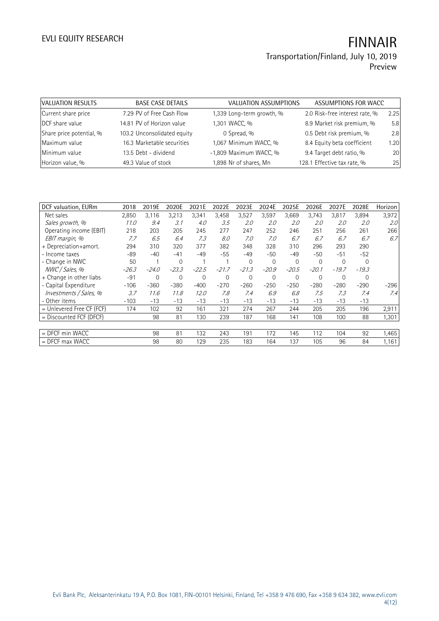Preview

| VALUATION RESULTS        | <b>BASE CASE DETAILS</b>    | <b>VALUATION ASSUMPTIONS</b> | ASSUMPTIONS FOR WACC           |      |
|--------------------------|-----------------------------|------------------------------|--------------------------------|------|
| Current share price      | 7.29 PV of Free Cash Flow   | 1,339 Long-term growth, %    | 2.0 Risk-free interest rate, % | 2.25 |
| DCF share value          | 14.81 PV of Horizon value   | 1,301 WACC, %                | 8.9 Market risk premium, %     | 5.8  |
| Share price potential, % | 103.2 Unconsolidated equity | 0 Spread, %                  | 0.5 Debt risk premium, %       | 2.8  |
| Maximum value            | 16.3 Marketable securities  | 1,067 Minimum WACC, %        | 8.4 Equity beta coefficient    | 1.20 |
| Minimum value            | 13.5 Debt - dividend        | -1,809 Maximum WACC, %       | 9.4 Target debt ratio, %       | 20   |
| Horizon value, %         | 49.3 Value of stock         | 1,898 Nr of shares, Mn       | 128.1 Effective tax rate, %    | 25   |

| DCF valuation, EURm         | 2018    | 2019E          | 2020E       | 2021E   | 2022E          | 2023E       | 2024E        | 2025E       | 2026E       | 2027E    | 2028E    | Horizon          |
|-----------------------------|---------|----------------|-------------|---------|----------------|-------------|--------------|-------------|-------------|----------|----------|------------------|
| Net sales                   | 2,850   | 3,116          | 3,213       | 3,341   | 3,458          | 3,527       | 3,597        | 3,669       | 3,743       | 3,817    | 3,894    | 3,972            |
| Sales growth, %             | 11.0    | 9.4            | 3.1         | 4.0     | 3.5            | 2.0         | 2.0          | 2.0         | 2.0         | 2.0      | 2.0      | 2.0 <sup>°</sup> |
| Operating income (EBIT)     | 218     | 203            | 205         | 245     | 277            | 247         | 252          | 246         | 251         | 256      | 261      | 266              |
| EBIT margin, %              | 7.7     | 6.5            | 6.4         | 7.3     | 8.0            | 7.0         | 7.0          | 6.7         | 6.7         | 6.7      | 6.7      | 6.7              |
| + Depreciation+amort.       | 294     | 310            | 320         | 377     | 382            | 348         | 328          | 310         | 296         | 293      | 290      |                  |
| - Income taxes              | -89     | $-40$          | $-41$       | $-49$   | -55            | $-49$       | $-50$        | -49         | $-50$       | $-51$    | $-52$    |                  |
| - Change in NWC             | 50      |                | $\mathbf 0$ |         |                | $\Omega$    | $\mathbf{0}$ | $\mathbf 0$ | $\mathbf 0$ | $\Omega$ | $\Omega$ |                  |
| NWC / Sales, %              | $-26.3$ | $-24.0$        | $-23.3$     | $-22.5$ | $-21.7$        | $-21.3$     | $-20.9$      | $-20.5$     | $-20.1$     | $-19.7$  | $-19.3$  |                  |
| + Change in other liabs     | $-91$   | $\overline{0}$ | $\mathbf 0$ | 0       | $\overline{0}$ | $\mathbf 0$ | $\mathbf{0}$ | $\mathbf 0$ | $\mathbf 0$ | 0        | 0        |                  |
| - Capital Expenditure       | $-106$  | $-360$         | $-380$      | $-400$  | $-270$         | $-260$      | $-250$       | $-250$      | $-280$      | $-280$   | $-290$   | $-296$           |
| Investments / Sales, %      | 3.7     | 11.6           | 11.8        | 12.0    | 7.8            | 7.4         | 6.9          | 6.8         | 7.5         | 7.3      | 7.4      | 7.4              |
| - Other items               | $-103$  | $-13$          | $-13$       | $-13$   | -13            | $-13$       | $-13$        | $-13$       | $-13$       | $-13$    | $-13$    |                  |
| $=$ Unlevered Free CF (FCF) | 174     | 102            | 92          | 161     | 321            | 274         | 267          | 244         | 205         | 205      | 196      | 2,911            |
| $=$ Discounted FCF (DFCF)   |         | 98             | 81          | 130     | 239            | 187         | 168          | 141         | 108         | 100      | 88       | 1,301            |
|                             |         |                |             |         |                |             |              |             |             |          |          |                  |
| = DFCF min WACC             |         | 98             | 81          | 132     | 243            | 191         | 172          | 145         | 112         | 104      | 92       | 1,465            |
| $=$ DFCF max WACC           |         | 98             | 80          | 129     | 235            | 183         | 164          | 137         | 105         | 96       | 84       | 1,161            |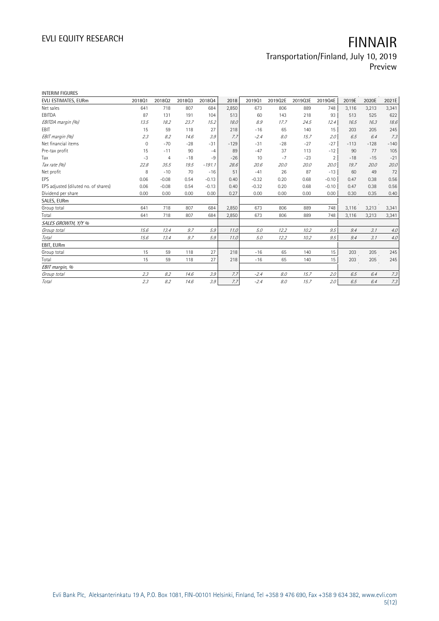| <b>INTERIM FIGURES</b>               |                |         |        |          |        |         |         |         |                |        |        |        |
|--------------------------------------|----------------|---------|--------|----------|--------|---------|---------|---------|----------------|--------|--------|--------|
| EVLI ESTIMATES, EURm                 | 201801         | 201802  | 201803 | 201804   | 2018   | 2019Q1  | 2019Q2E | 2019Q3E | 2019Q4E        | 2019E  | 2020E  | 2021E  |
| Net sales                            | 641            | 718     | 807    | 684      | 2,850  | 673     | 806     | 889     | 748            | 3,116  | 3,213  | 3,341  |
| EBITDA                               | 87             | 131     | 191    | 104      | 513    | 60      | 143     | 218     | 93             | 513    | 525    | 622    |
| EBITDA margin (%)                    | 13.5           | 18.2    | 23.7   | 15.2     | 18.0   | 8.9     | 17.7    | 24.5    | 12.4           | 16.5   | 16.3   | 18.6   |
| <b>FBIT</b>                          | 15             | 59      | 118    | 27       | 218    | $-16$   | 65      | 140     | 15             | 203    | 205    | 245    |
| EBIT margin (%)                      | 2.3            | 8.2     | 14.6   | 3.9      | 7.7    | $-2.4$  | 8.0     | 15.7    | 2.0            | 6.5    | 6.4    | 7.3    |
| Net financial items                  | $\overline{0}$ | $-70$   | $-28$  | $-31$    | $-129$ | $-31$   | $-28$   | $-27$   | $-27$          | $-113$ | $-128$ | $-140$ |
| Pre-tax profit                       | 15             | $-11$   | 90     | $-4$     | 89     | $-47$   | 37      | 113     | $-12$          | 90     | 77     | 105    |
| Tax                                  | $-3$           | 4       | $-18$  | $-9$     | $-26$  | 10      | $-7$    | $-23$   | $\overline{2}$ | $-18$  | $-15$  | $-21$  |
| Tax rate (%)                         | 22.8           | 35.5    | 19.5   | $-191.1$ | 28.6   | 20.6    | 20.0    | 20.0    | 20.0           | 19.7   | 20.0   | 20.0   |
| Net profit                           | 8              | $-10$   | 70     | $-16$    | 51     | $-41$   | 26      | 87      | $-13$          | 60     | 49     | 72     |
| EPS                                  | 0.06           | $-0.08$ | 0.54   | $-0.13$  | 0.40   | $-0.32$ | 0.20    | 0.68    | $-0.10$        | 0.47   | 0.38   | 0.56   |
| EPS adjusted (diluted no. of shares) | 0.06           | $-0.08$ | 0.54   | $-0.13$  | 0.40   | $-0.32$ | 0.20    | 0.68    | $-0.10$        | 0.47   | 0.38   | 0.56   |
| Dividend per share                   | 0.00           | 0.00    | 0.00   | 0.00     | 0.27   | 0.00    | 0.00    | 0.00    | 0.00           | 0.30   | 0.35   | 0.40   |
| SALES, EURm                          |                |         |        |          |        |         |         |         |                |        |        |        |
| Group total                          | 641            | 718     | 807    | 684      | 2,850  | 673     | 806     | 889     | 748            | 3,116  | 3,213  | 3,341  |
| Total                                | 641            | 718     | 807    | 684      | 2,850  | 673     | 806     | 889     | 748            | 3,116  | 3,213  | 3,341  |
| SALES GROWTH, Y/Y %                  |                |         |        |          |        |         |         |         |                |        |        |        |
| Group total                          | 15.6           | 13.4    | 9.7    | 5.9      | 11.0   | 5.0     | 12.2    | 10.2    | 9.5            | 9.4    | 3.1    | 4.0    |
| Total                                | 15.6           | 13.4    | 9.7    | 5.9      | 11.0   | 5.0     | 12.2    | 10.2    | 9.5            | 9.4    | 3.1    | $4.0$  |
| EBIT, EURm                           |                |         |        |          |        |         |         |         |                |        |        |        |
| Group total                          | 15             | 59      | 118    | 27       | 218    | $-16$   | 65      | 140     | 15             | 203    | 205    | 245    |
| Total                                | 15             | 59      | 118    | 27       | 218    | $-16$   | 65      | 140     | 15             | 203    | 205    | 245    |
| EBIT margin, %                       |                |         |        |          |        |         |         |         |                |        |        |        |
| Group total                          | 2.3            | 8.2     | 14.6   | 3.9      | 7.7    | $-2.4$  | 8.0     | 15.7    | 2.0            | 6.5    | 6.4    | 7.3    |
| Total                                | 2.3            | 8.2     | 14.6   | 3.9      | 7.7    | $-2.4$  | 8.0     | 15.7    | 2.0            | 6.5    | 6.4    | 7.3    |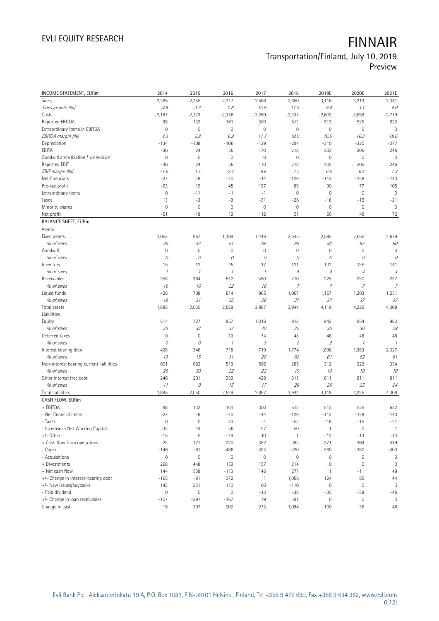# EVLI EQUITY RESEARCH **FINNAIR**

## Transportation/Finland, July 10, 2019 Preview

| <b>INCOME STATEMENT, EURm</b>            | 2014                | 2015         | 2016                | 2017          | 2018           | 2019E               | 2020E          | 2021E               |
|------------------------------------------|---------------------|--------------|---------------------|---------------|----------------|---------------------|----------------|---------------------|
| Sales                                    | 2,285               | 2,255        | 2,317               | 2,568         | 2,850          | 3,116               | 3,213          | 3,341               |
| Sales growth (%)                         | $-4.8$              | $-1.3$       | 2.8                 | 10.9          | 11.0           | 9.4                 | 3.1            | 4.0                 |
| Costs                                    | $-2,187$            | $-2,123$     | $-2,156$            | $-2,269$      | $-2,337$       | $-2,603$            | $-2,688$       | $-2,719$            |
| Reported EBITDA                          | 98                  | 132          | 161                 | 300           | 513            | 513                 | 525            | 622                 |
| Extraordinary items in EBITDA            | $\mathbf 0$         | $\mathbf 0$  | 0                   | $\mathbf 0$   | $\mathbf 0$    | $\mathbf 0$         | $\mathbf 0$    | $\mathbb O$         |
| EBITDA margin (%)                        | 4.3                 | 5.8          | 6.9                 | 11.7          | 18.0           | 16.5                | 16.3           | 18.6                |
| Depreciation                             | $-134$              | $-108$       | $-106$              | $-129$        | $-294$         | $-310$              | $-320$         | $-377$              |
| EBITA                                    | $-36$               | 24           | 55                  | 170           | 218            | 203                 | 205            | 245                 |
| Goodwill amortization / writedown        | $\mathbf 0$         | $\mathbf 0$  | $\mathsf{O}\xspace$ | $\mathbf 0$   | $\mathbf 0$    | $\mathbf 0$         | $\mathbf 0$    | $\mathbf 0$         |
| Reported EBIT                            | $-36$               | 24           | 55                  | 170           | 218            | 203                 | 205            | 245                 |
| EBIT margin (%)                          | $-1.6$              | 1.1          | 2.4                 | 6.6           | 7.7            | 6.5                 | 6.4            | 7.3                 |
| Net financials                           | $-27$               | $-8$         | $-10$               | $-14$         | $-129$         | $-113$              | $-128$         | $-140$              |
| Pre-tax profit                           | $-63$               | 15           | 45                  | 157           | 89             | 90                  | 77             | 105                 |
| Extraordinary items                      | $\mathbf 0$         | $-11$        | $-1$                | $-1$          | $\mathbf 0$    | $\mathbf 0$         | $\mathbf 0$    | $\mathsf{O}\xspace$ |
| Taxes                                    | 13                  | $-3$         | $-9$                | $-31$         | $-26$          | $-18$               | $-15$          | $-21$               |
| Minority shares                          | $\mathbf 0$         | $\mathbf 0$  | $\mathsf{O}\xspace$ | $\mathbf 0$   | $\mathbf 0$    | $\mathbf 0$         | $\mathbf 0$    | $\mathbf 0$         |
| Net profit                               | $-51$               | $-18$        | 19                  | 112           | 51             | 60                  | 49             | 72                  |
| <b>BALANCE SHEET, EURm</b>               |                     |              |                     |               |                |                     |                |                     |
| Assets                                   |                     |              |                     |               |                |                     |                |                     |
| Fixed assets                             | 1,053               | 957          | 1,189               | 1,446         | 2,545          | 2,595               | 2,655          | 2,679               |
| % of sales                               | 46                  | 42           | 51                  | 56            | 89             | 83                  | 83             | 80                  |
| Goodwill                                 | $\mathbf 0$         | $\mathbf 0$  | 0                   | $\mathbf 0$   | $\mathbf 0$    | $\mathbf 0$         | $\mathbf 0$    | $\mathsf{O}\xspace$ |
| % of sales                               | 0                   | 0            | 0                   | 0             | $\mathcal O$   | 0                   | 0              | $\mathcal O$        |
| Inventory                                | 15                  | 12           | 15                  | 17            | 121            | 132                 | 136            | 141                 |
| % of sales                               | $\mathcal I$        | $\mathcal I$ | $\mathcal I$        | $\mathcal{I}$ | $\sqrt{4}$     | $\sqrt{4}$          | $\overline{4}$ | $\overline{4}$      |
| Receivables                              | 358                 | 364          | 512                 | 460           | 210            | 225                 | 230            | 237                 |
| % of sales                               | 16                  | 16           | 22                  | 18            | $\overline{z}$ | $\overline{7}$      | $\overline{z}$ | 7                   |
| Liquid funds                             | 426                 | 708          | 814                 | 965           | 1,067          | 1,167               | 1,203          | 1,251               |
| % of sales                               | 19                  | 31           | 35                  | 38            | 37             | 37                  | 37             | 37                  |
| Total assets                             | 1,885               | 2,050        | 2,529               | 2,887         | 3,944          | 4,119               | 4,225          | 4,308               |
| Liabilities                              |                     |              |                     |               |                |                     |                |                     |
| Equity                                   | 514                 | 727          | 857                 | 1,016         | 918            | 943                 | 954            | 980                 |
| % of sales                               | 23                  | 32           | 37                  | 40            | 32             | 30                  | 30             | 29                  |
| Deferred taxes                           | $\mathbf 0$         | $\mathbf 0$  | 33                  | 74            | 48             | 48                  | 48             | 48                  |
| % of sales                               | 0                   | 0            | $\mathcal I$        | 3             | $\sqrt{2}$     | $\mathfrak z$       | $\mathcal I$   | $\mathcal I$        |
| Interest bearing debt                    | 428                 | 346          | 718                 | 719           | 1,774          | 1,898               | 1,983          | 2,027               |
| % of sales                               | 19                  | 15           | 31                  | 28            | 62             | 61                  | 62             | 61                  |
| Non-interest bearing current liabilities | 601                 | 682          | 519                 | 566           | 285            | 312                 | 322            | 334                 |
| % of sales                               | 26                  | 30           | 22                  | 22            | 10             | 10                  | 10             | 10                  |
| Other interest free debt                 | 246                 | 201          | 339                 | 428           | 811            | 811                 | 811            | 811                 |
| % of sales                               | 11                  | $\mathcal G$ | 15                  | 17            | 28             | 26                  | 25             | 24                  |
| <b>Total liabilities</b>                 | 1,885               | 2,050        | 2,529               | 2,887         | 3,944          | 4,119               | 4,225          | 4,308               |
| CASH FLOW, EURm                          |                     |              |                     |               |                |                     |                |                     |
| + EBITDA                                 | 98                  | 132          | 161                 | 300           | 513            | 513                 | 525            | 622                 |
| - Net financial items                    | $-27$               | $-8$         | $-10$               | $-14$         | $-129$         | $-113$              | $-128$         | $-140$              |
| - Taxes                                  | $\mathbb O$         | $\mathbf 0$  | 33                  | $-1$          | $-52$          | $-18$               | $-15$          | $-21$               |
| - Increase in Net Working Capital        | $-33$               | 43           | 56                  | 57            | 50             | $\mathbf{1}$        | $\mathbf 0$    | $\overline{1}$      |
| $+/-$ Other                              | $-15$               | 5            | $-19$               | 40            | $\overline{1}$ | $-13$               | $-13$          | $-13$               |
| = Cash flow from operations              | 23                  | 171          | 220                 | 382           | 383            | 371                 | 369            | 449                 |
| - Capex                                  | $-146$              | $-81$        | $-486$              | $-394$        | $-320$         | $-360$              | $-380$         | $-400$              |
| - Acquisitions                           | $\mathbb O$         | $\mathbf 0$  | $\mathsf{O}\xspace$ | $\mathbb O$   | $\mathbb O$    | $\mathbb O$         | $\mathbf 0$    | 0                   |
| + Divestments                            | 268                 | 448          | 153                 | 157           | 214            | $\mathbf 0$         | $\mathbf 0$    | $\mathsf{O}\xspace$ |
| = Net cash flow                          | 144                 | 538          | $-113$              | 146           | 277            | 11                  | $-11$          | 49                  |
| +/- Change in interest-bearing debt      | $-165$              | $-81$        | 372                 | $\mathbf{1}$  | 1,056          | 124                 | 85             | 44                  |
| +/- New issues/buybacks                  | 143                 | 231          | 110                 | 60            | $-110$         | $\mathsf{O}\xspace$ | $\mathbf 0$    | $\mathsf{O}\xspace$ |
| - Paid dividend                          | $\mathsf{O}\xspace$ | $\mathbf 0$  | 0                   | $-13$         | $-38$          | $-35$               | $-38$          | $-45$               |
| +/- Change in loan receivables           | $-107$              | $-291$       | $-167$              | 79            | $-91$          | $\mathbb O$         | 0              | $\mathbf 0$         |
| Change in cash                           | 15                  | 397          | 202                 | 273           | 1,094          | 100                 | 36             | 48                  |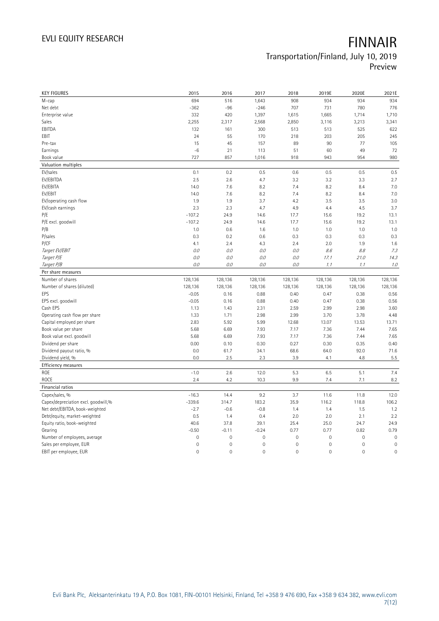| <b>KEY FIGURES</b>                     | 2015                | 2016                | 2017            | 2018                | 2019E               | 2020E                    | 2021E               |
|----------------------------------------|---------------------|---------------------|-----------------|---------------------|---------------------|--------------------------|---------------------|
| M-cap                                  | 694                 | 516                 | 1,643           | 908                 | 934                 | 934                      | 934                 |
| Net debt                               | $-362$              | $-96$               | $-246$          | 707                 | 731                 | 780                      | 776                 |
| Enterprise value                       | 332                 | 420                 | 1,397           | 1,615               | 1,665               | 1,714                    | 1,710               |
| Sales                                  | 2,255               | 2,317               | 2,568           | 2,850               | 3,116               | 3,213                    | 3,341               |
| EBITDA                                 | 132                 | 161                 | 300             | 513                 | 513                 | 525                      | 622                 |
| EBIT                                   | 24                  | 55                  | 170             | 218                 | 203                 | 205                      | 245                 |
| Pre-tax                                | 15                  | 45                  | 157             | 89                  | 90                  | 77                       | 105                 |
| Earnings                               | $-6$                | 21                  | 113             | 51                  | 60                  | 49                       | 72                  |
| Book value                             | 727                 | 857                 | 1,016           | 918                 | 943                 | 954                      | 980                 |
| Valuation multiples                    |                     |                     |                 |                     |                     |                          |                     |
| EV/sales                               | 0.1                 | 0.2                 | 0.5             | 0.6                 | 0.5                 | 0.5                      | 0.5                 |
| EV/EBITDA                              | 2.5                 | 2.6                 | 4.7             | 3.2                 | 3.2                 | 3.3                      | 2.7                 |
| EV/EBITA                               | 14.0                | 7.6                 | 8.2             | 7.4                 | 8.2                 | 8.4                      | 7.0                 |
| EV/EBIT                                | 14.0                | 7.6                 | 8.2             | 7.4                 | 8.2                 | 8.4                      | 7.0                 |
| EV/operating cash flow                 | 1.9                 | 1.9                 | 3.7             | 4.2                 | 3.5                 | 3.5                      | 3.0                 |
| EV/cash earnings                       | 2.3                 | 2.3                 | 4.7             | 4.9                 | 4.4                 | 4.5                      | 3.7                 |
| P/E                                    | $-107.2$            | 24.9                | 14.6            | 17.7                | 15.6                | 19.2                     | 13.1                |
| P/E excl. goodwill                     | $-107.2$            | 24.9                | 14.6            | 17.7                | 15.6                | 19.2                     | 13.1                |
| P/B                                    | 1.0                 | 0.6                 | 1.6             | 1.0                 | 1.0                 | 1.0                      | 1.0                 |
| P/sales                                | 0.3                 | 0.2                 | 0.6             | 0.3                 | 0.3                 | 0.3                      | 0.3                 |
| P/CF                                   | 4.1                 | 2.4                 | 4.3             | 2.4                 | 2.0                 | 1.9                      | 1.6                 |
| Target EV/EBIT                         | 0.0                 | 0.0                 | 0.0             | O.O                 | 8.6                 | $\mathcal{S}\mathcal{S}$ | 7.3                 |
| Target P/E                             | $O.O$               | 0.0                 | 0.0             | 0.0                 | 17.1                | 21.0                     | 14.3                |
| Target P/B                             | 0.0                 | 0.0                 | 0.0             | 0.0                 | 1.1                 | 1.1                      | 1.0                 |
| Per share measures                     |                     |                     |                 |                     |                     |                          |                     |
|                                        |                     |                     |                 |                     |                     |                          |                     |
|                                        |                     |                     |                 |                     |                     |                          |                     |
| Number of shares                       | 128,136             | 128,136             | 128,136         | 128,136             | 128,136             | 128,136                  | 128,136             |
| Number of shares (diluted)             | 128,136             | 128,136             | 128,136         | 128,136             | 128,136             | 128,136                  | 128,136             |
| EPS                                    | $-0.05$             | 0.16                | 0.88            | 0.40                | 0.47                | 0.38                     | 0.56                |
| EPS excl. goodwill                     | $-0.05$             | 0.16                | 0.88            | 0.40                | 0.47                | 0.38                     | 0.56                |
| Cash EPS                               | 1.13                | 1.43                | 2.31            | 2.59                | 2.99                | 2.98                     | 3.60                |
| Operating cash flow per share          | 1.33                | 1.71                | 2.98            | 2.99                | 3.70                | 3.78                     | 4.48                |
| Capital employed per share             | 2.83                | 5.92                | 5.99            | 12.68               | 13.07               | 13.53                    | 13.71               |
| Book value per share                   | 5.68                | 6.69                | 7.93            | 7.17                | 7.36                | 7.44                     | 7.65                |
| Book value excl. goodwill              | 5.68                | 6.69                | 7.93            | 7.17                | 7.36                | 7.44                     | 7.65                |
| Dividend per share                     | 0.00<br>0.0         | 0.10                | 0.30<br>34.1    | 0.27<br>68.6        | 0.30<br>64.0        | 0.35<br>92.0             | 0.40                |
| Dividend payout ratio, %               |                     | 61.7                |                 |                     |                     |                          | 71.6                |
| Dividend yield, %                      | 0.0                 | 2.5                 | 2.3             | 3.9                 | 4.1                 | 4.8                      | 5.5                 |
| Efficiency measures                    |                     |                     |                 |                     |                     |                          |                     |
| ROE<br>ROCE                            | $-1.0$<br>2.4       | 2.6<br>4.2          | 12.0<br>10.3    | 5.3<br>9.9          | 6.5<br>7.4          | 5.1<br>7.1               | 7.4                 |
| Financial ratios                       |                     |                     |                 |                     |                     |                          | 8.2                 |
|                                        |                     |                     |                 |                     |                     |                          |                     |
| Capex/sales, %                         | $-16.3$<br>$-339.6$ | 14.4<br>314.7       | 9.2<br>183.2    | 3.7<br>35.9         | 11.6<br>116.2       | 11.8<br>118.8            | 12.0<br>106.2       |
| Capex/depreciation excl. goodwill,%    |                     |                     |                 |                     |                     |                          |                     |
| Net debt/EBITDA, book-weighted         | $-2.7$<br>0.5       | $-0.6$<br>1.4       | $-0.8$<br>0.4   | 1.4<br>2.0          | 1.4<br>2.0          | 1.5<br>2.1               | 1.2<br>2.2          |
| Debt/equity, market-weighted           |                     |                     |                 |                     |                     | 24.7                     |                     |
| Equity ratio, book-weighted<br>Gearing | 40.6<br>$-0.50$     | 37.8<br>$-0.11$     | 39.1<br>$-0.24$ | 25.4<br>0.77        | 25.0<br>0.77        | 0.82                     | 24.9<br>0.79        |
| Number of employees, average           | $\mathbf 0$         | $\mathsf{O}\xspace$ | $\mathbf 0$     | $\mathbf 0$         | $\mathsf{O}\xspace$ | $\mathbf 0$              | $\mathbf 0$         |
| Sales per employee, EUR                | $\mathbf 0$         | 0                   | $\mathbf 0$     | $\mathsf{O}\xspace$ | $\mathsf{O}\xspace$ | $\mathbf 0$              | $\mathbf 0$         |
| EBIT per employee, EUR                 | $\overline{0}$      | $\mathsf{O}\xspace$ | $\mathbf 0$     | $\mathsf{O}\xspace$ | $\mathsf{O}\xspace$ | $\mathsf{O}\xspace$      | $\mathsf{O}\xspace$ |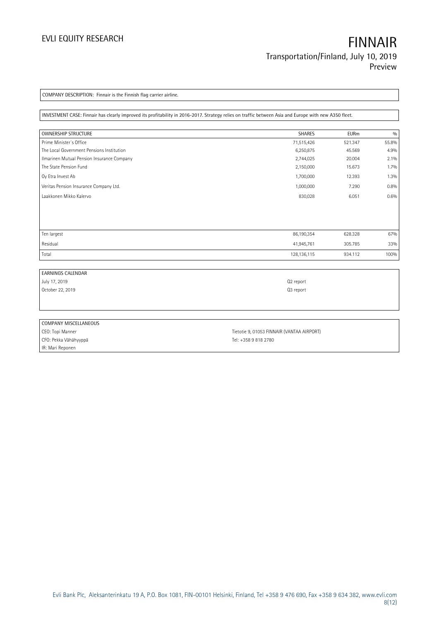COMPANY DESCRIPTION: Finnair is the Finnish flag carrier airline.

INVESTMENT CASE: Finnair has clearly improved its profitability in 2016-2017. Strategy relies on traffic between Asia and Europe with new A350 fleet.

| OWNERSHIP STRUCTURE                        | <b>SHARES</b> | <b>EURm</b> | 0/0     |
|--------------------------------------------|---------------|-------------|---------|
| Prime Minister's Office                    | 71,515,426    | 521.347     | 55.8%   |
| The Local Government Pensions Institution  | 6,250,875     | 45.569      | 4.9%    |
| Ilmarinen Mutual Pension Insurance Company | 2,744,025     | 20.004      | 2.1%    |
| The State Pension Fund                     | 2,150,000     | 15.673      | $1.7\%$ |
| Oy Etra Invest Ab                          | 1,700,000     | 12.393      | 1.3%    |
| Veritas Pension Insurance Company Ltd.     | 1,000,000     | 7.290       | 0.8%    |
| Laakkonen Mikko Kalervo                    | 830,028       | 6.051       | 0.6%    |
|                                            |               |             |         |
|                                            |               |             |         |
| Ten largest                                | 86,190,354    | 628.328     | 67%     |
| Residual                                   | 41,945,761    | 305.785     | 33%     |
| Total                                      | 128,136,115   | 934.112     | 100%    |

| <b>EARNINGS CALENDAR</b> |                                            |  |
|--------------------------|--------------------------------------------|--|
| July 17, 2019            | Q <sub>2</sub> report                      |  |
| October 22, 2019         | Q3 report                                  |  |
|                          |                                            |  |
|                          |                                            |  |
|                          |                                            |  |
| COMPANY MISCELLANEOUS    |                                            |  |
| CEO: Topi Manner         | Tietotie 9, 01053 FINNAIR (VANTAA AIRPORT) |  |

CFO: Pekka Vähähyyppä Tel: +358 9 818 2780 IR: Mari Reponen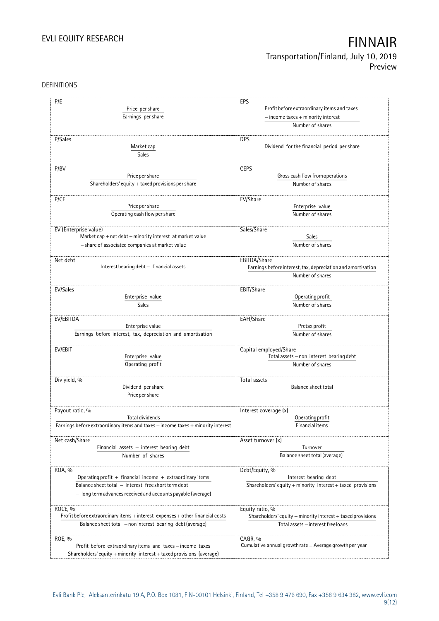DEFINITIONS

| P/E                                                                              | EPS                                                                                             |
|----------------------------------------------------------------------------------|-------------------------------------------------------------------------------------------------|
|                                                                                  |                                                                                                 |
| Price per share                                                                  | Profit before extraordinary items and taxes                                                     |
| Earnings per share                                                               | $-$ income taxes $+$ minority interest                                                          |
|                                                                                  | Number of shares                                                                                |
| P/Sales                                                                          | <b>DPS</b>                                                                                      |
| Market cap                                                                       | Dividend for the financial period per share                                                     |
|                                                                                  |                                                                                                 |
| Sales                                                                            |                                                                                                 |
| P/BV                                                                             | <b>CEPS</b>                                                                                     |
| Price per share                                                                  | Gross cash flow from operations                                                                 |
| Shareholders' equity $+$ taxed provisions per share                              | Number of shares                                                                                |
|                                                                                  |                                                                                                 |
| P/CF                                                                             | EV/Share                                                                                        |
| Price per share                                                                  | Enterprise value                                                                                |
| Operating cash flow per share                                                    | Number of shares                                                                                |
|                                                                                  |                                                                                                 |
| EV (Enterprise value)                                                            | Sales/Share                                                                                     |
| Market cap + net debt + minority interest at market value                        | Sales                                                                                           |
| - share of associated companies at market value                                  | Number of shares                                                                                |
|                                                                                  |                                                                                                 |
| Net debt                                                                         | EBITDA/Share                                                                                    |
| Interest bearing debt - financial assets                                         | Earnings before interest, tax, depreciation and amortisation                                    |
|                                                                                  | Number of shares                                                                                |
|                                                                                  |                                                                                                 |
| EV/Sales                                                                         | EBIT/Share                                                                                      |
| Enterprise value                                                                 | Operating profit                                                                                |
| Sales                                                                            | Number of shares                                                                                |
|                                                                                  |                                                                                                 |
| EV/EBITDA                                                                        | EAFI/Share                                                                                      |
| Enterprise value                                                                 | Pretax profit                                                                                   |
| Earnings before interest, tax, depreciation and amortisation                     | Number of shares                                                                                |
|                                                                                  |                                                                                                 |
| EV/EBIT<br>Enterprise value                                                      | Capital employed/Share<br>$\label{eq:1} \text{Total assets} - \text{non interest bearing debt}$ |
| Operating profit                                                                 | Number of shares                                                                                |
|                                                                                  |                                                                                                 |
| Div yield, %                                                                     | Total assets                                                                                    |
| Dividend per share                                                               | Balance sheet total                                                                             |
| Price per share                                                                  |                                                                                                 |
|                                                                                  |                                                                                                 |
| Payout ratio, %                                                                  | Interest coverage (x)                                                                           |
| Total dividends                                                                  | Operating profit                                                                                |
| Earnings before extraordinary items and taxes - income taxes + minority interest | Financial items                                                                                 |
|                                                                                  |                                                                                                 |
| Net cash/Share                                                                   | Asset turnover (x)                                                                              |
| Financial assets $-$ interest bearing debt                                       | Turnover                                                                                        |
| Number of shares                                                                 | Balance sheet total (average)                                                                   |
|                                                                                  |                                                                                                 |
| ROA, %                                                                           | Debt/Equity, %                                                                                  |
| Operating profit + financial income + extraordinary items                        | Interest bearing debt                                                                           |
| Balance sheet total - interest free short term debt                              | Shareholders' equity $+$ minority interest $+$ taxed provisions                                 |
| - long term advances received and accounts payable (average)                     |                                                                                                 |
|                                                                                  |                                                                                                 |
| ROCE, %                                                                          | Equity ratio, %                                                                                 |
| Profit before extraordinary items + interest expenses + other financial costs    | Shareholders' equity $+$ minority interest $+$ taxed provisions                                 |
| Balance sheet total - non interest bearing debt (average)                        | Total assets - interest free loans                                                              |
|                                                                                  |                                                                                                 |
| ROE, %                                                                           | CAGR, %                                                                                         |
| Profit before extraordinary items and taxes - income taxes                       | Cumulative annual growth rate $=$ Average growth per year                                       |
| Shareholders' equity + minority interest + taxed provisions (average)            |                                                                                                 |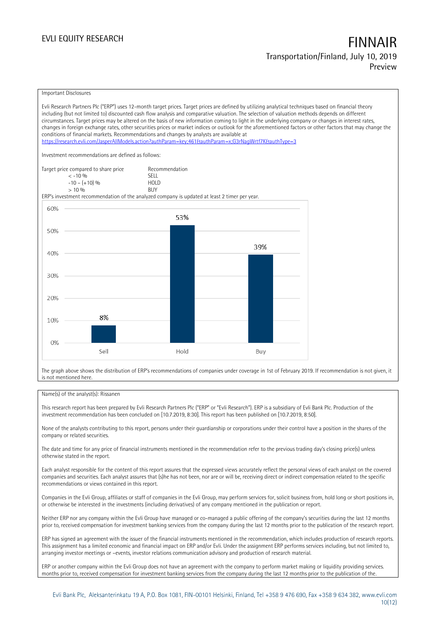### Important Disclosures

Evli Research Partners Plc ("ERP") uses 12-month target prices. Target prices are defined by utilizing analytical techniques based on financial theory including (but not limited to) discounted cash flow analysis and comparative valuation. The selection of valuation methods depends on different circumstances. Target prices may be altered on the basis of new information coming to light in the underlying company or changes in interest rates, changes in foreign exchange rates, other securities prices or market indices or outlook for the aforementioned factors or other factors that may change the conditions of financial markets. Recommendations and changes by analysts are available at https://research.evli.com/JasperAllModels.action?authParam=key;461&authParam=x;G3rNagWrtf7K&tauthType=3 Investment recommendations are defined as follows: Target price compared to share price Recommendation<br>  $\leq -10\%$  $\langle 5, 10, 10 \rangle$  SELL<br>  $\langle -10, 1, 10 \rangle$   $\langle 6, 10 \rangle$   $\langle 10, 10 \rangle$  $-10 - (+10) \%$  HOL<br>  $> 10 \%$  RIJY  $> 10\%$ ERP's investment recommendation of the analyzed company is updated at least 2 timer per year. 60% 53% 50% 39% 40% 30% 20% 8% 10%  $0%$ Sell Hold Buy

The graph above shows the distribution of ERP's recommendations of companies under coverage in 1st of February 2019. If recommendation is not given, it is not mentioned here.

### Name(s) of the analyst(s): Rissanen

This research report has been prepared by Evli Research Partners Plc ("ERP" or "Evli Research"). ERP is a subsidiary of Evli Bank Plc. Production of the investment recommendation has been concluded on [10.7.2019, 8:30]. This report has been published on [10.7.2019, 8:50].

None of the analysts contributing to this report, persons under their guardianship or corporations under their control have a position in the shares of the company or related securities.

The date and time for any price of financial instruments mentioned in the recommendation refer to the previous trading day's closing price(s) unless otherwise stated in the report.

Each analyst responsible for the content of this report assures that the expressed views accurately reflect the personal views of each analyst on the covered companies and securities. Each analyst assures that (s)he has not been, nor are or will be, receiving direct or indirect compensation related to the specific recommendations or views contained in this report.

Companies in the Evli Group, affiliates or staff of companies in the Evli Group, may perform services for, solicit business from, hold long or short positions in, or otherwise be interested in the investments (including derivatives) of any company mentioned in the publication or report.

Neither ERP nor any company within the Evli Group have managed or co-managed a public offering of the company's securities during the last 12 months prior to, received compensation for investment banking services from the company during the last 12 months prior to the publication of the research report.

ERP has signed an agreement with the issuer of the financial instruments mentioned in the recommendation, which includes production of research reports. This assignment has a limited economic and financial impact on ERP and/or Evli. Under the assignment ERP performs services including, but not limited to, arranging investor meetings or –events, investor relations communication advisory and production of research material.

ERP or another company within the Evli Group does not have an agreement with the company to perform market making or liquidity providing services. months prior to, received compensation for investment banking services from the company during the last 12 months prior to the publication of the.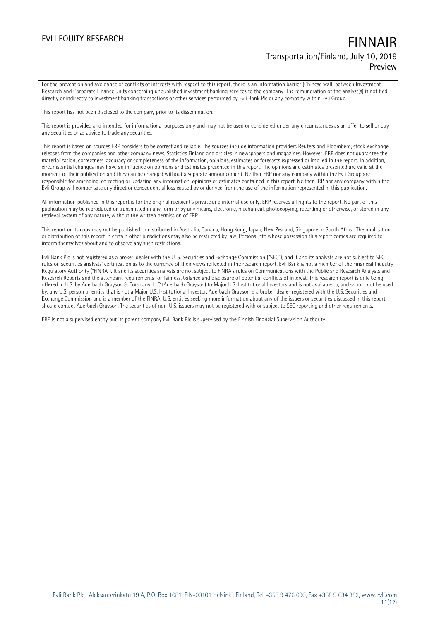For the prevention and avoidance of conflicts of interests with respect to this report, there is an information barrier (Chinese wall) between Investment Research and Corporate Finance units concerning unpublished investment banking services to the company. The remuneration of the analyst(s) is not tied directly or indirectly to investment banking transactions or other services performed by Evli Bank Plc or any company within Evli Group.

This report has not been disclosed to the company prior to its dissemination.

This report is provided and intended for informational purposes only and may not be used or considered under any circumstances as an offer to sell or buy any securities or as advice to trade any securities.

This report is based on sources ERP considers to be correct and reliable. The sources include information providers Reuters and Bloomberg, stock-exchange releases from the companies and other company news, Statistics Finland and articles in newspapers and magazines. However, ERP does not guarantee the materialization, correctness, accuracy or completeness of the information, opinions, estimates or forecasts expressed or implied in the report. In addition, circumstantial changes may have an influence on opinions and estimates presented in this report. The opinions and estimates presented are valid at the moment of their publication and they can be changed without a separate announcement. Neither ERP nor any company within the Evli Group are responsible for amending, correcting or updating any information, opinions or estimates contained in this report. Neither ERP nor any company within the Evli Group will compensate any direct or consequential loss caused by or derived from the use of the information represented in this publication.

All information published in this report is for the original recipient's private and internal use only. ERP reserves all rights to the report. No part of this publication may be reproduced or transmitted in any form or by any means, electronic, mechanical, photocopying, recording or otherwise, or stored in any retrieval system of any nature, without the written permission of ERP.

This report or its copy may not be published or distributed in Australia, Canada, Hong Kong, Japan, New Zealand, Singapore or South Africa. The publication or distribution of this report in certain other jurisdictions may also be restricted by law. Persons into whose possession this report comes are required to inform themselves about and to observe any such restrictions.

Evli Bank Plc is not registered as a broker-dealer with the U. S. Securities and Exchange Commission ("SEC"), and it and its analysts are not subject to SEC rules on securities analysts' certification as to the currency of their views reflected in the research report. Evli Bank is not a member of the Financial Industry Regulatory Authority ("FINRA"). It and its securities analysts are not subject to FINRA's rules on Communications with the Public and Research Analysts and Research Reports and the attendant requirements for fairness, balance and disclosure of potential conflicts of interest. This research report is only being offered in U.S. by Auerbach Grayson & Company, LLC (Auerbach Grayson) to Major U.S. Institutional Investors and is not available to, and should not be used by, any U.S. person or entity that is not a Major U.S. Institutional Investor. Auerbach Grayson is a broker-dealer registered with the U.S. Securities and Exchange Commission and is a member of the FINRA. U.S. entities seeking more information about any of the issuers or securities discussed in this report should contact Auerbach Grayson. The securities of non-U.S. issuers may not be registered with or subject to SEC reporting and other requirements.

ERP is not a supervised entity but its parent company Evli Bank Plc is supervised by the Finnish Financial Supervision Authority.